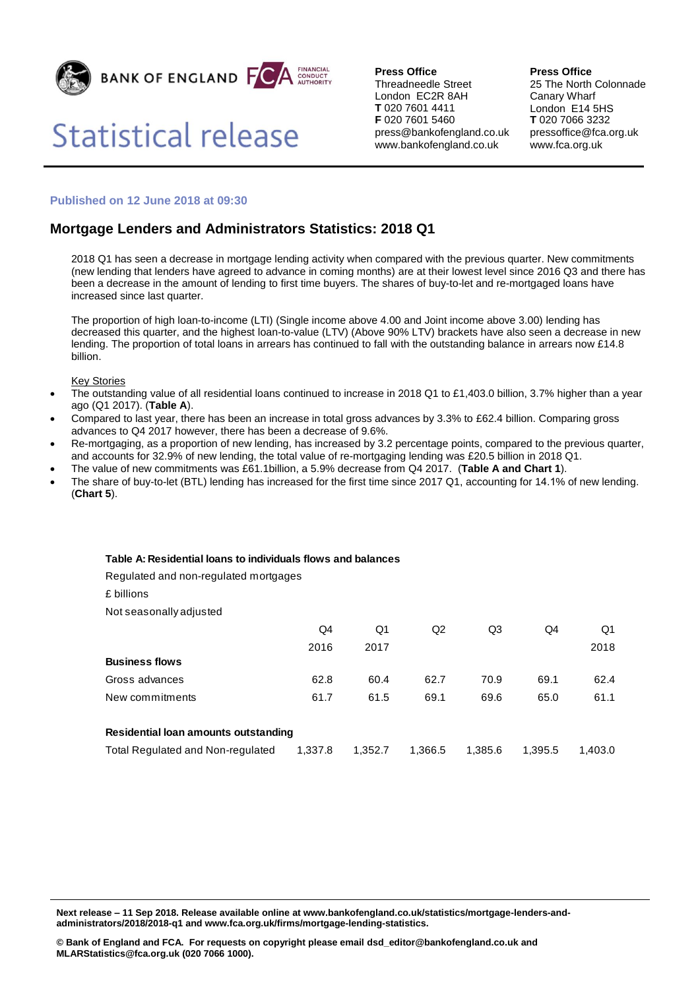

## **Statistical release**

**Press Office** Threadneedle Street London EC2R 8AH **T** 020 7601 4411 **F** 020 7601 5460 press@bankofengland.co.uk www.bankofengland.co.uk

**Press Office**

25 The North Colonnade Canary Wharf London E14 5HS **T** 020 7066 3232 pressoffice@fca.org.uk www.fca.org.uk

## **Published on 12 June 2018 at 09:30**

## **Mortgage Lenders and Administrators Statistics: 2018 Q1**

2018 Q1 has seen a decrease in mortgage lending activity when compared with the previous quarter. New commitments (new lending that lenders have agreed to advance in coming months) are at their lowest level since 2016 Q3 and there has been a decrease in the amount of lending to first time buyers. The shares of buy-to-let and re-mortgaged loans have increased since last quarter.

The proportion of high loan-to-income (LTI) (Single income above 4.00 and Joint income above 3.00) lending has decreased this quarter, and the highest loan-to-value (LTV) (Above 90% LTV) brackets have also seen a decrease in new lending. The proportion of total loans in arrears has continued to fall with the outstanding balance in arrears now £14.8 billion.

Key Stories

- The outstanding value of all residential loans continued to increase in 2018 Q1 to £1,403.0 billion, 3.7% higher than a year ago (Q1 2017). (**Table A**).
- Compared to last year, there has been an increase in total gross advances by 3.3% to £62.4 billion. Comparing gross advances to Q4 2017 however, there has been a decrease of 9.6%.
- Re-mortgaging, as a proportion of new lending, has increased by 3.2 percentage points, compared to the previous quarter, and accounts for 32.9% of new lending, the total value of re-mortgaging lending was £20.5 billion in 2018 Q1.
- The value of new commitments was £61.1billion, a 5.9% decrease from Q4 2017. (**Table A and Chart 1**).
- The share of buy-to-let (BTL) lending has increased for the first time since 2017 Q1, accounting for 14.1% of new lending. (**Chart 5**).

## **Table A: Residential loans to individuals flows and balances**

Regulated and non-regulated mortgages

| £ billions                           |         |         |         |         |         |         |
|--------------------------------------|---------|---------|---------|---------|---------|---------|
| Not seasonally adjusted              |         |         |         |         |         |         |
|                                      | Q4      | Q1      | Q2      | Q3      | Q4      | Q1      |
|                                      | 2016    | 2017    |         |         |         | 2018    |
| <b>Business flows</b>                |         |         |         |         |         |         |
| Gross advances                       | 62.8    | 60.4    | 62.7    | 70.9    | 69.1    | 62.4    |
| New commitments                      | 61.7    | 61.5    | 69.1    | 69.6    | 65.0    | 61.1    |
|                                      |         |         |         |         |         |         |
| Residential loan amounts outstanding |         |         |         |         |         |         |
| Total Regulated and Non-regulated    | 1.337.8 | 1.352.7 | 1,366.5 | 1.385.6 | 1.395.5 | 1.403.0 |
|                                      |         |         |         |         |         |         |

**Next release – 11 Sep 2018. Release available online at www.bankofengland.co.uk/statistics/mortgage-lenders-andadministrators/2018/2018-q1 and www.fca.org.uk/firms/mortgage-lending-statistics.**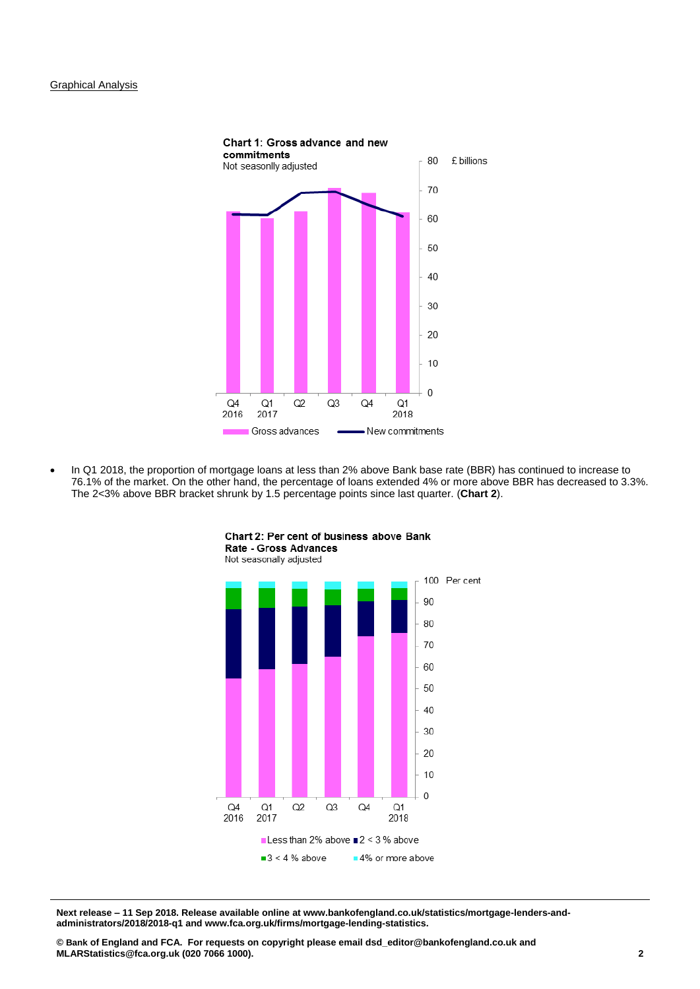

 In Q1 2018, the proportion of mortgage loans at less than 2% above Bank base rate (BBR) has continued to increase to 76.1% of the market. On the other hand, the percentage of loans extended 4% or more above BBR has decreased to 3.3%. The 2<3% above BBR bracket shrunk by 1.5 percentage points since last quarter. (**Chart 2**).



Chart 2: Per cent of business above Bank Rate - Gross Advances

**Next release – 11 Sep 2018. Release available online at www.bankofengland.co.uk/statistics/mortgage-lenders-andadministrators/2018/2018-q1 and www.fca.org.uk/firms/mortgage-lending-statistics.**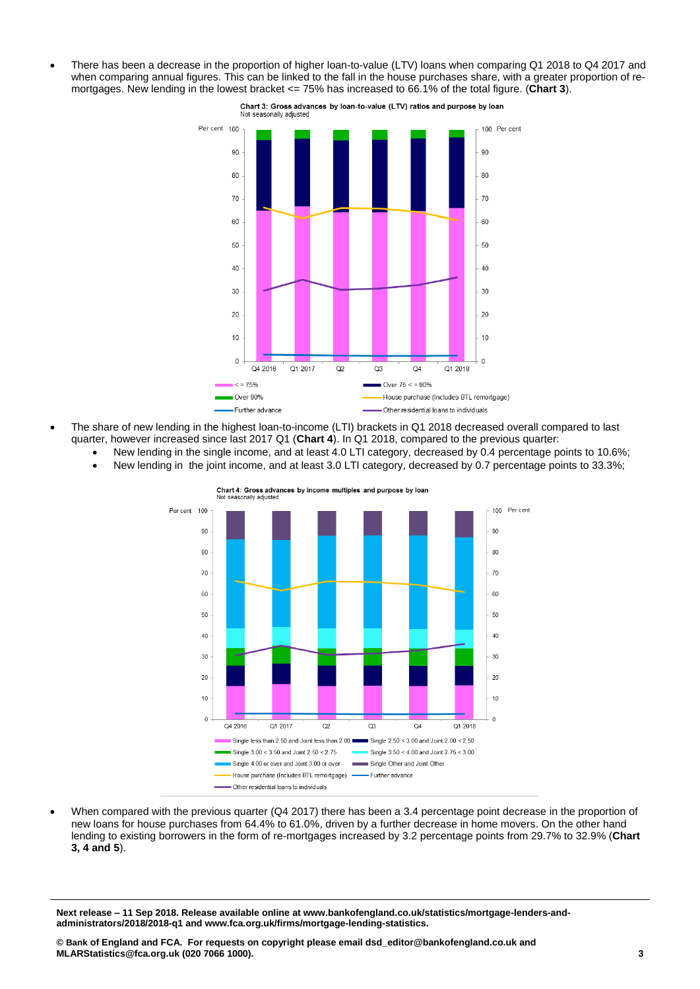There has been a decrease in the proportion of higher loan-to-value (LTV) loans when comparing Q1 2018 to Q4 2017 and when comparing annual figures. This can be linked to the fall in the house purchases share, with a greater proportion of remortgages. New lending in the lowest bracket <= 75% has increased to 66.1% of the total figure. (**Chart 3**).



Chart 3: Gross advances by loan-to-value (LTV) ratios and purpose by loan

- The share of new lending in the highest loan-to-income (LTI) brackets in Q1 2018 decreased overall compared to last quarter, however increased since last 2017 Q1 (**Chart 4**). In Q1 2018, compared to the previous quarter:
	- New lending in the single income, and at least 4.0 LTI category, decreased by 0.4 percentage points to 10.6%;
	- New lending in the joint income, and at least 3.0 LTI category, decreased by 0.7 percentage points to 33.3%;



When compared with the previous quarter (Q4 2017) there has been a 3.4 percentage point decrease in the proportion of new loans for house purchases from 64.4% to 61.0%, driven by a further decrease in home movers. On the other hand lending to existing borrowers in the form of re-mortgages increased by 3.2 percentage points from 29.7% to 32.9% (**Chart 3, 4 and 5**).

**Next release – 11 Sep 2018. Release available online at www.bankofengland.co.uk/statistics/mortgage-lenders-andadministrators/2018/2018-q1 and www.fca.org.uk/firms/mortgage-lending-statistics.**